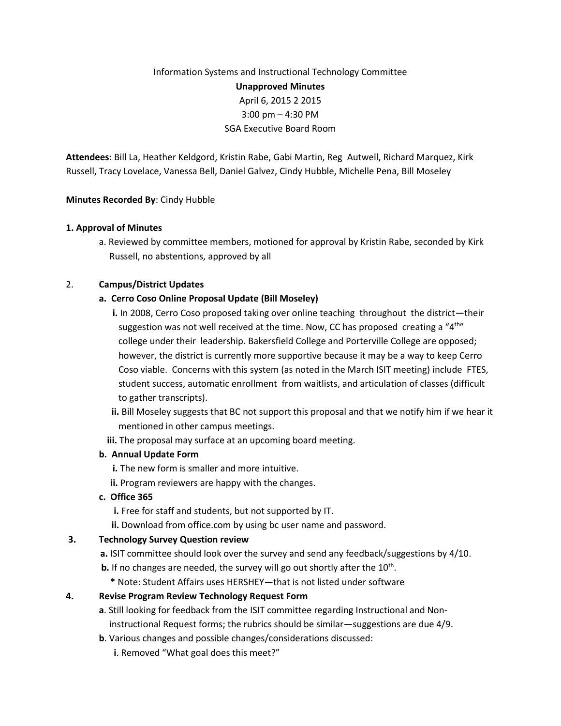# Information Systems and Instructional Technology Committee **Unapproved Minutes** April 6, 2015 2 2015 3:00 pm – 4:30 PM SGA Executive Board Room

**Attendees**: Bill La, Heather Keldgord, Kristin Rabe, Gabi Martin, Reg Autwell, Richard Marquez, Kirk Russell, Tracy Lovelace, Vanessa Bell, Daniel Galvez, Cindy Hubble, Michelle Pena, Bill Moseley

### **Minutes Recorded By**: Cindy Hubble

#### **1. Approval of Minutes**

a. Reviewed by committee members, motioned for approval by Kristin Rabe, seconded by Kirk Russell, no abstentions, approved by all

### 2. **Campus/District Updates**

### **a. Cerro Coso Online Proposal Update (Bill Moseley)**

- **i.** In 2008, Cerro Coso proposed taking over online teaching throughout the district—their suggestion was not well received at the time. Now, CC has proposed creating a "4<sup>th</sup>" college under their leadership. Bakersfield College and Porterville College are opposed; however, the district is currently more supportive because it may be a way to keep Cerro Coso viable. Concerns with this system (as noted in the March ISIT meeting) include FTES, student success, automatic enrollment from waitlists, and articulation of classes (difficult to gather transcripts).
	- **ii.** Bill Moseley suggests that BC not support this proposal and that we notify him if we hear it mentioned in other campus meetings.
	- **iii.** The proposal may surface at an upcoming board meeting.

## **b. Annual Update Form**

- **i.** The new form is smaller and more intuitive.
- **ii.** Program reviewers are happy with the changes.
- **c. Office 365**
	- **i.** Free for staff and students, but not supported by IT.
	- **ii.** Download from office.com by using bc user name and password.

## **3. Technology Survey Question review**

- **a.** ISIT committee should look over the survey and send any feedback/suggestions by 4/10.
- **b.** If no changes are needed, the survey will go out shortly after the 10<sup>th</sup>.
	- **\*** Note: Student Affairs uses HERSHEY—that is not listed under software

## **4. Revise Program Review Technology Request Form**

- **a**. Still looking for feedback from the ISIT committee regarding Instructional and Non instructional Request forms; the rubrics should be similar—suggestions are due 4/9.
- **b**. Various changes and possible changes/considerations discussed:
	- **i**. Removed "What goal does this meet?"